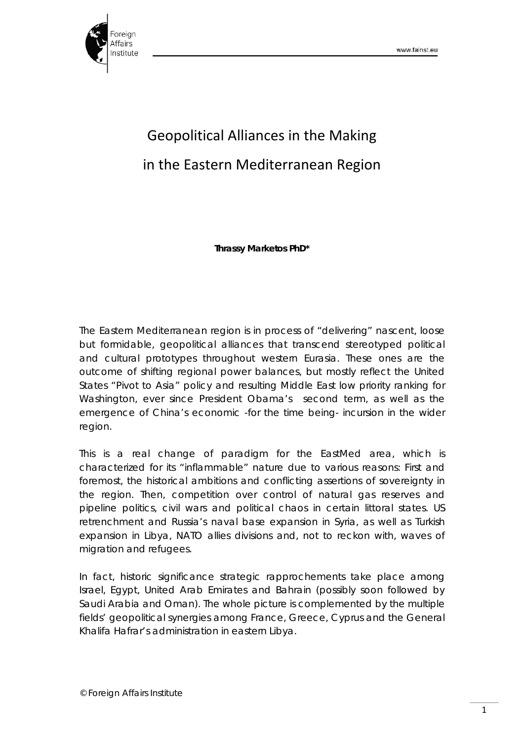

## Geopolitical Alliances in the Making in the Eastern Mediterranean Region

**Thrassy Marketos PhD\***

The Eastern Mediterranean region is in process of "delivering" nascent, loose but formidable, geopolitical alliances that transcend stereotyped political and cultural prototypes throughout western Eurasia. These ones are the outcome of shifting regional power balances, but mostly reflect the United States "Pivot to Asia" policy and resulting Middle East low priority ranking for Washington, ever since President Obama's second term, as well as the emergence of China's economic -for the time being- incursion in the wider region.

This is a real change of paradigm for the EastMed area, which is characterized for its "inflammable" nature due to various reasons: First and foremost, the historical ambitions and conflicting assertions of sovereignty in the region. Then, competition over control of natural gas reserves and pipeline politics, civil wars and political chaos in certain littoral states. US retrenchment and Russia's naval base expansion in Syria, as well as Turkish expansion in Libya, NATO allies divisions and, not to reckon with, waves of migration and refugees.

In fact, historic significance strategic rapprochements take place among Israel, Egypt, United Arab Emirates and Bahrain (possibly soon followed by Saudi Arabia and Oman). The whole picture is complemented by the multiple fields' geopolitical synergies among France, Greece, Cyprus and the General Khalifa Hafrar's administration in eastern Libya.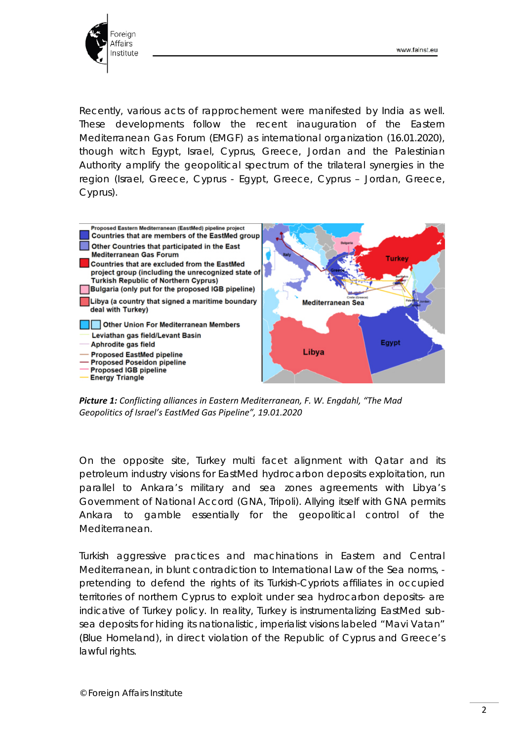

Recently, various acts of rapprochement were manifested by India as well. These developments follow the recent inauguration of the Eastern Mediterranean Gas Forum (EMGF) as international organization (16.01.2020), though witch Egypt, Israel, Cyprus, Greece, Jordan and the Palestinian Authority amplify the geopolitical spectrum of the trilateral synergies in the region (Israel, Greece, Cyprus - Egypt, Greece, Cyprus – Jordan, Greece, Cyprus).



*Picture 1: Conflicting alliances in Eastern Mediterranean, F. W. Engdahl, "The Mad Geopolitics of Israel's EastMed Gas Pipeline", 19.01.2020*

On the opposite site, Turkey multi facet alignment with Qatar and its petroleum industry visions for EastMed hydrocarbon deposits exploitation, run parallel to Ankara's military and sea zones agreements with Libya's Government of National Accord (GNA, Tripoli). Allying itself with GNA permits Ankara to gamble essentially for the geopolitical control of the Mediterranean.

Turkish aggressive practices and machinations in Eastern and Central Mediterranean, in blunt contradiction to International Law of the Sea norms, pretending to defend the rights of its Turkish-Cypriots affiliates in occupied territories of northern Cyprus to exploit under sea hydrocarbon deposits- are indicative of Turkey policy. In reality, Turkey is instrumentalizing EastMed subsea deposits for hiding its nationalistic, imperialist visions labeled "Mavi Vatan" (Blue Homeland), in direct violation of the Republic of Cyprus and Greece's lawful rights.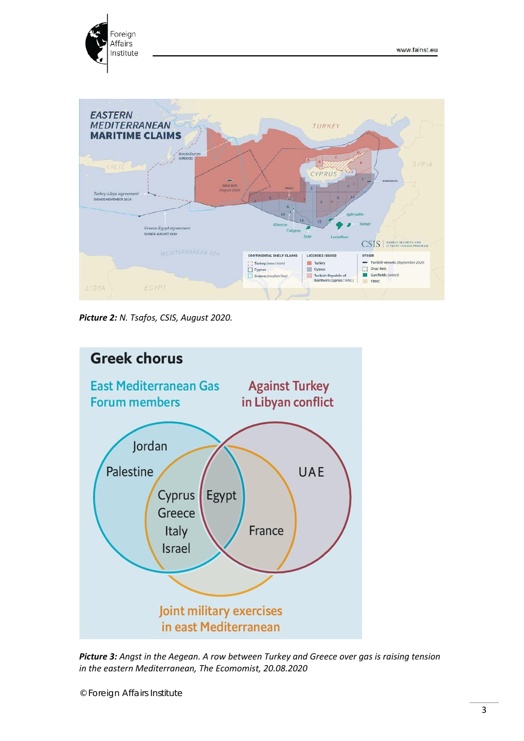



*Picture 2: N. Tsafos, CSIS, August 2020.*



*Picture 3: Angst in the Aegean. A row between Turkey and Greece over gas is raising tension in the eastern Mediterranean, The Ecomomist, 20.08.2020*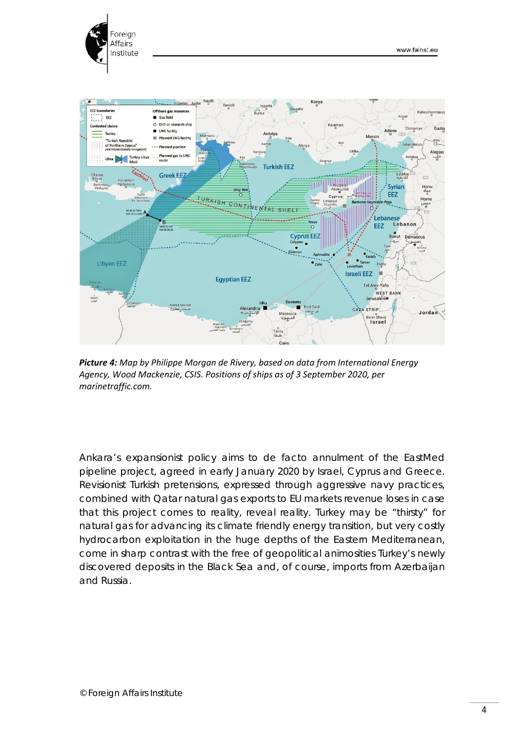



*Picture 4: Map by Philippe Morgan de Rivery, based on data from International Energy Agency, Wood Mackenzie, CSIS. Positions of ships as of 3 September 2020, per marinetraffic.com.*

Ankara's expansionist policy aims to de facto annulment of the EastMed pipeline project, agreed in early January 2020 by Israel, Cyprus and Greece. Revisionist Turkish pretensions, expressed through aggressive navy practices, combined with Qatar natural gas exports to EU markets revenue loses in case that this project comes to reality, reveal reality. Turkey may be "thirsty" for natural gas for advancing its climate friendly energy transition, but very costly hydrocarbon exploitation in the huge depths of the Eastern Mediterranean, come in sharp contrast with the free of geopolitical animosities Turkey's newly discovered deposits in the Black Sea and, of course, imports from Azerbaijan and Russia.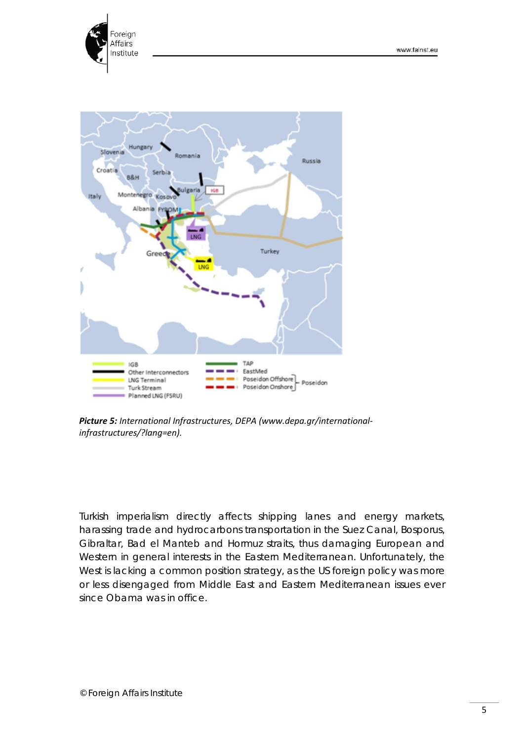



*Picture 5: International Infrastructures, DEPA (www.depa.gr/internationalinfrastructures/?lang=en).*

Turkish imperialism directly affects shipping lanes and energy markets, harassing trade and hydrocarbons transportation in the Suez Canal, Bosporus, Gibraltar, Bad el Manteb and Hormuz straits, thus damaging European and Western in general interests in the Eastern Mediterranean. Unfortunately, the West is lacking a common position strategy, as the US foreign policy was more or less disengaged from Middle East and Eastern Mediterranean issues ever since Obama was in office.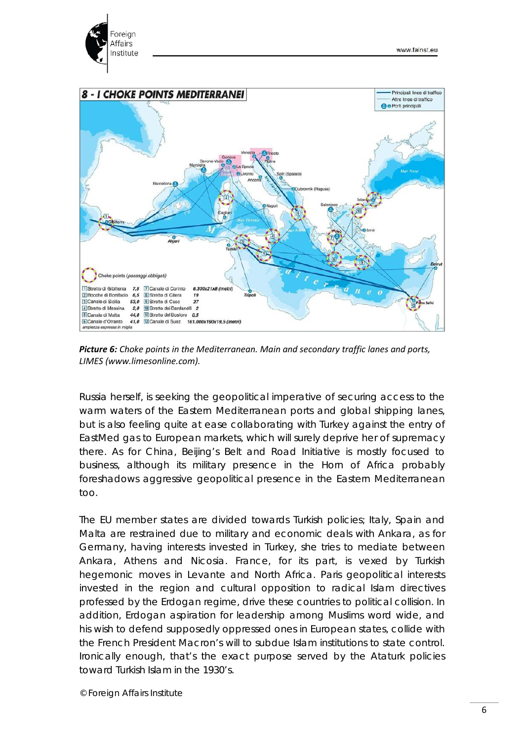

*Picture 6: Choke points in the Mediterranean. Main and secondary traffic lanes and ports, LIMES (www.limesonline.com).*

Russia herself, is seeking the geopolitical imperative of securing access to the warm waters of the Eastern Mediterranean ports and global shipping lanes, but is also feeling quite at ease collaborating with Turkey against the entry of EastMed gas to European markets, which will surely deprive her of supremacy there. As for China, Beijing's Belt and Road Initiative is mostly focused to business, although its military presence in the Horn of Africa probably foreshadows aggressive geopolitical presence in the Eastern Mediterranean too.

The EU member states are divided towards Turkish policies; Italy, Spain and Malta are restrained due to military and economic deals with Ankara, as for Germany, having interests invested in Turkey, she tries to mediate between Ankara, Athens and Nicosia. France, for its part, is vexed by Turkish hegemonic moves in Levante and North Africa. Paris geopolitical interests invested in the region and cultural opposition to radical Islam directives professed by the Erdogan regime, drive these countries to political collision. In addition, Erdogan aspiration for leadership among Muslims word wide, and his wish to defend supposedly oppressed ones in European states, collide with the French President Macron's will to subdue Islam institutions to state control. Ironically enough, that's the exact purpose served by the Ataturk policies toward Turkish Islam in the 1930's.

© Foreign Affairs Institute

Foreign Affairs

Institute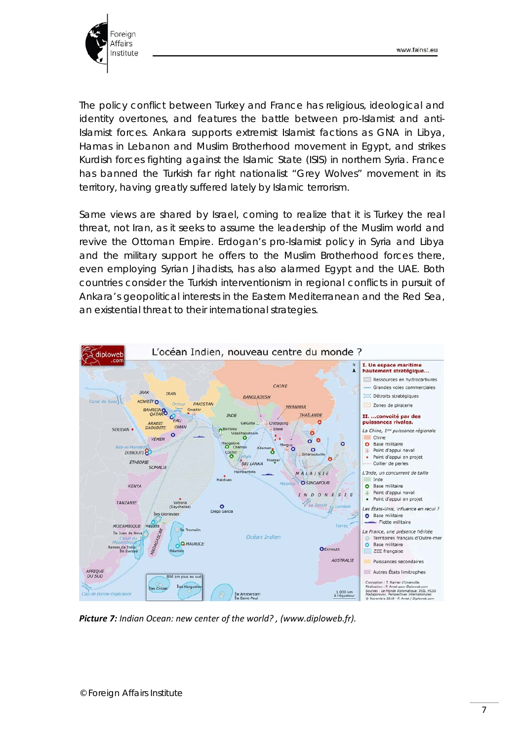

The policy conflict between Turkey and France has religious, ideological and identity overtones, and features the battle between pro-Islamist and anti-Islamist forces. Ankara supports extremist Islamist factions as GNA in Libya, Hamas in Lebanon and Muslim Brotherhood movement in Egypt, and strikes Kurdish forces fighting against the Islamic State (ISIS) in northern Syria. France has banned the Turkish far right nationalist "Grey Wolves" movement in its territory, having greatly suffered lately by Islamic terrorism.

Same views are shared by Israel, coming to realize that it is Turkey the real threat, not Iran, as it seeks to assume the leadership of the Muslim world and revive the Ottoman Empire. Erdogan's pro-Islamist policy in Syria and Libya and the military support he offers to the Muslim Brotherhood forces there, even employing Syrian Jihadists, has also alarmed Egypt and the UAE. Both countries consider the Turkish interventionism in regional conflicts in pursuit of Ankara's geopolitical interests in the Eastern Mediterranean and the Red Sea, an existential threat to their international strategies.



*Picture 7: Indian Ocean: new center of the world? , [\(www.diploweb.fr\)](http://www.diploweb.fr/).*